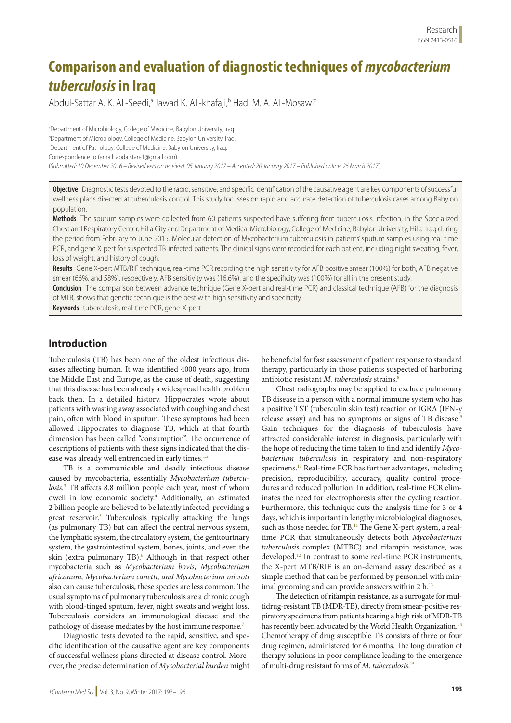# **Comparison and evaluation of diagnostic techniques of** *mycobacterium tuberculosis* **in Iraq**

Abdul-Sattar A. K. AL-Seedi,<sup>a</sup> Jawad K. AL-khafaji,<sup>b</sup> Hadi M. A. AL-Mosawi<sup>c</sup>

<sup>a</sup>Department of Microbiology, College of Medicine, Babylon University, Iraq. b Department of Microbiology, College of Medicine, Babylon University, Iraq. c Department of Pathology, College of Medicine, Babylon University, Iraq. Correspondence to (email: abdalstare1@gmail.com) (*Submitted: 10 December 2016 – Revised version received: 05 January 2017 – Accepted: 20 January 2017 – Published online: 26 March 2017* )

**Objective** Diagnostic tests devoted to the rapid, sensitive, and specific identification of the causative agent are key components of successful wellness plans directed at tuberculosis control. This study focusses on rapid and accurate detection of tuberculosis cases among Babylon population.

**Methods** The sputum samples were collected from 60 patients suspected have suffering from tuberculosis infection, in the Specialized Chest and Respiratory Center, Hilla City and Department of Medical Microbiology, College of Medicine, Babylon University, Hilla-Iraq during the period from February to June 2015. Molecular detection of Mycobacterium tuberculosis in patients' sputum samples using real-time PCR, and gene X-pert for suspected TB-infected patients. The clinical signs were recorded for each patient, including night sweating, fever, loss of weight, and history of cough.

**Results** Gene X-pert MTB/RIF technique, real-time PCR recording the high sensitivity for AFB positive smear (100%) for both, AFB negative smear (66%, and 58%), respectively. AFB sensitivity was (16.6%), and the specificity was (100%) for all in the present study.

**Conclusion** The comparison between advance technique (Gene X-pert and real-time PCR) and classical technique (AFB) for the diagnosis of MTB, shows that genetic technique is the best with high sensitivity and specificity.

**Keywords** tuberculosis, real-time PCR, gene-X-pert

## **Introduction**

Tuberculosis (TB) has been one of the oldest infectious diseases affecting human. It was identified 4000 years ago, from the Middle East and Europe, as the cause of death, suggesting that this disease has been already a widespread health problem back then. In a detailed history, Hippocrates wrote about patients with wasting away associated with coughing and chest pain, often with blood in sputum. These symptoms had been allowed Hippocrates to diagnose TB, which at that fourth dimension has been called "consumption". The occurrence of descriptions of patients with these signs indicated that the disease was already well entrenched in early times.<sup>1,2</sup>

TB is a communicable and deadly infectious disease caused by mycobacteria, essentially *Mycobacterium tuberculosis.*<sup>3</sup> TB affects 8.8 million people each year, most of whom dwell in low economic society.4 Additionally, an estimated 2 billion people are believed to be latently infected, providing a great reservoir.<sup>5</sup> Tuberculosis typically attacking the lungs (as pulmonary TB) but can affect the central nervous system, the lymphatic system, the circulatory system, the genitourinary system, the gastrointestinal system, bones, joints, and even the skin (extra pulmonary TB).<sup>6</sup> Although in that respect other mycobacteria such as *Mycobacterium bovis*, *Mycobacterium africanum, Mycobacterium canetti, and Mycobacterium microti*  also can cause tuberculosis, these species are less common. The usual symptoms of pulmonary tuberculosis are a chronic cough with blood-tinged sputum, fever, night sweats and weight loss. Tuberculosis considers an immunological disease and the pathology of disease mediates by the host immune response.7

Diagnostic tests devoted to the rapid, sensitive, and specific identification of the causative agent are key components of successful wellness plans directed at disease control. Moreover, the precise determination of *Mycobacterial burden* might be beneficial for fast assessment of patient response to standard therapy, particularly in those patients suspected of harboring antibiotic resistant *M. tuberculosis* strains.<sup>8</sup>

Chest radiographs may be applied to exclude pulmonary TB disease in a person with a normal immune system who has a positive TST (tuberculin skin test) reaction or IGRA (IFN-γ release assay) and has no symptoms or signs of TB disease.<sup>9</sup> Gain techniques for the diagnosis of tuberculosis have attracted considerable interest in diagnosis, particularly with the hope of reducing the time taken to find and identify *Mycobacterium tuberculosis* in respiratory and non-respiratory specimens.<sup>10</sup> Real-time PCR has further advantages, including precision, reproducibility, accuracy, quality control procedures and reduced pollution. In addition, real-time PCR eliminates the need for electrophoresis after the cycling reaction. Furthermore, this technique cuts the analysis time for 3 or 4 days, which is important in lengthy microbiological diagnoses, such as those needed for TB.<sup>11</sup> The Gene X-pert system, a realtime PCR that simultaneously detects both *Mycobacterium tuberculosis* complex (MTBC) and rifampin resistance, was developed.12 In contrast to some real-time PCR instruments, the X-pert MTB/RIF is an on-demand assay described as a simple method that can be performed by personnel with minimal grooming and can provide answers within  $2 h$ .<sup>13</sup>

The detection of rifampin resistance, as a surrogate for multidrug-resistant TB (MDR-TB), directly from smear-positive respiratory specimens from patients bearing a high risk of MDR-TB has recently been advocated by the World Health Organization.<sup>14</sup> Chemotherapy of drug susceptible TB consists of three or four drug regimen, administered for 6 months. The long duration of therapy solutions in poor compliance leading to the emergence of multi-drug resistant forms of *M*. *tuberculosis*. 15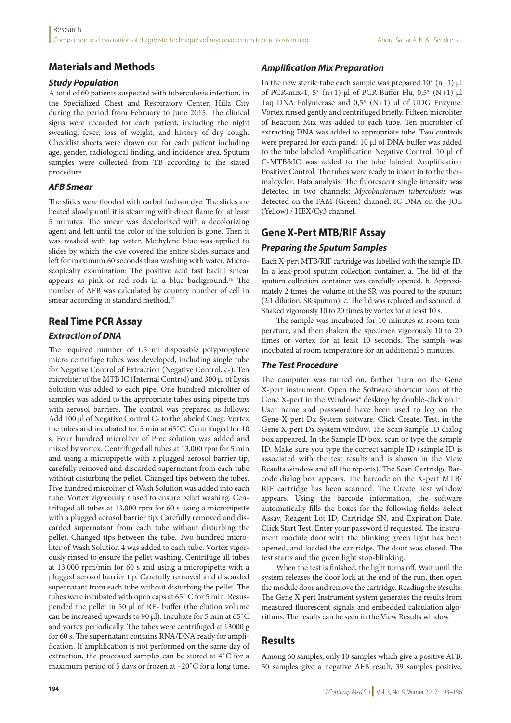# **Materials and Methods**

#### *Study Population*

A total of 60 patients suspected with tuberculosis infection, in the Specialized Chest and Respiratory Center, Hilla City during the period from February to June 2015. The clinical signs were recorded for each patient, including the night sweating, fever, loss of weight, and history of dry cough. Checklist sheets were drawn out for each patient including age, gender, radiological finding, and incidence area. Sputum samples were collected from TB according to the stated procedure.

## *AFB Smear*

The slides were flooded with carbol fuchsin dye. The slides are heated slowly until it is steaming with direct flame for at least 5 minutes. The smear was decolorized with a decolorizing agent and left until the color of the solution is gone. Then it was washed with tap water. Methylene blue was applied to slides by which the dye covered the entire slides surface and left for maximum 60 seconds than washing with water. Microscopically examination: The positive acid fast bacilli smear appears as pink or red rods in a blue background.16 The number of AFB was calculated by country number of cell in smear according to standard method.<sup>17</sup>

# **Real Time PCR Assay**

## *Extraction of DNA*

The required number of 1.5 ml disposable polypropylene micro centrifuge tubes was developed, including single tube for Negative Control of Extraction (Negative Control, c-). Ten microliter of the MTB IC (Internal Control) and 300 μl of Lysis Solution was added to each pipe. One hundred microliter of samples was added to the appropriate tubes using pipette tips with aerosol barriers. The control was prepared as follows: Add 100 μl of Negative Control C- to the labeled Cneg. Vortex the tubes and incubated for 5 min at 65˚C. Centrifuged for 10 s. Four hundred microliter of Prec solution was added and mixed by vortex. Centrifuged all tubes at 13,000 rpm for 5 min and using a micropipette with a plugged aerosol barrier tip, carefully removed and discarded supernatant from each tube without disturbing the pellet. Changed tips between the tubes. Five hundred microliter of Wash Solution was added into each tube. Vortex vigorously rinsed to ensure pellet washing. Centrifuged all tubes at 13,000 rpm for 60 s using a micropipette with a plugged aerosol barrier tip. Carefully removed and discarded supernatant from each tube without disturbing the pellet. Changed tips between the tube. Two hundred microliter of Wash Solution 4 was added to each tube. Vortex vigorously rinsed to ensure the pellet washing. Centrifuge all tubes at 13,000 rpm/min for 60 s and using a micropipette with a plugged aerosol barrier tip. Carefully removed and discarded supernatant from each tube without disturbing the pellet. The tubes were incubated with open caps at 65˚ C for 5 min. Resuspended the pellet in 50 μl of RE- buffer (the elution volume can be increased upwards to 90 μl). Incubate for 5 min at 65˚C and vortex periodically. The tubes were centrifuged at 13000 g for 60 s. The supernatant contains RNA/DNA ready for amplification. If amplification is not performed on the same day of extraction, the processed samples can be stored at 4˚C for a maximum period of 5 days or frozen at –20˚C for a long time.

## *Amplification Mix Preparation*

In the new sterile tube each sample was prepared  $10^*$  (n+1)  $\mu$ l of PCR-mix-1, 5\* (n+1) μl of PCR Buffer Flu, 0,5\* (N+1) μl Taq DNA Polymerase and 0,5\* (N+1) μl of UDG Enzyme. Vortex rinsed gently and centrifuged briefly. Fifteen microliter of Reaction Mix was added to each tube. Ten microliter of extracting DNA was added to appropriate tube. Two controls were prepared for each panel: 10 μl of DNA-buffer was added to the tube labeled Amplification Negative Control. 10 μl of C-MTB&IC was added to the tube labeled Amplification Positive Control. The tubes were ready to insert in to the thermalcycler. Data analysis: The fluorescent single intensity was detected in two channels: *Mycobacterium tuberculosis* was detected on the FAM (Green) channel, IC DNA on the JOE (Yellow) / HEX/Cy3 channel.

# **Gene X-Pert MTB/RIF Assay**

## *Preparing the Sputum Samples*

Each X-pert MTB/RIF cartridge was labelled with the sample ID. In a leak-proof sputum collection container, a. The lid of the sputum collection container was carefully opened. b. Approximately 2 times the volume of the SR was poured to the sputum (2:1 dilution, SR:sputum). c. The lid was replaced and secured. d. Shaked vigorously 10 to 20 times by vortex for at least 10 s.

The sample was incubated for 10 minutes at room temperature, and then shaken the specimen vigorously 10 to 20 times or vortex for at least 10 seconds. The sample was incubated at room temperature for an additional 5 minutes.

#### *The Test Procedure*

The computer was turned on, farther Turn on the Gene X-pert instrument. Open the Software shortcut icon of the Gene X-pert in the Windows® desktop by double-click on it. User name and password have been used to log on the Gene-X-pert Dx System software. Click Create, Test, in the Gene X-pert Dx System window. The Scan Sample ID dialog box appeared. In the Sample ID box, scan or type the sample ID. Make sure you type the correct sample ID (sample ID is associated with the test results and is shown in the View Results window and all the reports). The Scan Cartridge Barcode dialog box appears. The barcode on the X-pert MTB/ RIF cartridge has been scanned. The Create Test window appears. Using the barcode information, the software automatically fills the boxes for the following fields: Select Assay, Reagent Lot ID, Cartridge SN, and Expiration Date. Click Start Test. Enter your password if requested. The instrument module door with the blinking green light has been opened, and loaded the cartridge. The door was closed. The test starts and the green light stop-blinking.

When the test is finished, the light turns off. Wait until the system releases the door lock at the end of the run, then open the module door and remove the cartridge. Reading the Results: The Gene X-pert Instrument system generates the results from measured fluorescent signals and embedded calculation algorithms. The results can be seen in the View Results window.

# **Results**

Among 60 samples, only 10 samples which give a positive AFB, 50 samples give a negative AFB result, 39 samples positive,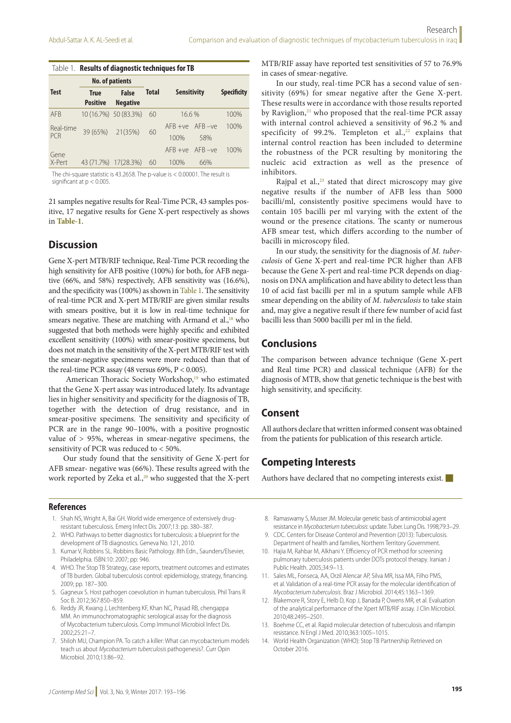| Table 1. Results of diagnostic techniques for TB |                         |                                 |              |                       |     |                    |
|--------------------------------------------------|-------------------------|---------------------------------|--------------|-----------------------|-----|--------------------|
|                                                  | <b>No. of patients</b>  |                                 |              |                       |     |                    |
| <b>Test</b>                                      | True<br><b>Positive</b> | <b>False</b><br><b>Negative</b> | <b>Total</b> | <b>Sensitivity</b>    |     | <b>Specificity</b> |
|                                                  |                         |                                 |              |                       |     |                    |
| <b>AFR</b>                                       |                         | 10 (16.7%) 50 (83.3%)           | 60           | 16.6%                 |     | 100%               |
| Real-time<br>PCR                                 | 39 (65%) 21 (35%)       |                                 | 60           | $AFB + VP$ $AFB - VP$ |     | 100%               |
|                                                  |                         |                                 |              | 100%                  | 58% |                    |
| Gene                                             |                         |                                 |              | $AFB + VP$ $AFB - VP$ |     | 100%               |
| X-Pert                                           | 43 (71.7%)              | 17(28.3%)                       | 60           | 100%                  | 66% |                    |

The chi-square statistic is 43.2658. The p-value is < 0.00001. The result is significant at p < 0.005.

21 samples negative results for Real-Time PCR, 43 samples positive, 17 negative results for Gene X-pert respectively as shows in **Table-1**.

#### **Discussion**

Gene X-pert MTB/RIF technique, Real-Time PCR recording the high sensitivity for AFB positive (100%) for both, for AFB negative (66%, and 58%) respectively, AFB sensitivity was (16.6%), and the specificity was (100%) as shown in Table 1. The sensitivity of real-time PCR and X-pert MTB/RIF are given similar results with smears positive, but it is low in real-time technique for smears negative. These are matching with Armand et al., $18$  who suggested that both methods were highly specific and exhibited excellent sensitivity (100%) with smear-positive specimens, but does not match in the sensitivity of the X-pert MTB/RIF test with the smear-negative specimens were more reduced than that of the real-time PCR assay (48 versus 69%, P < 0.005).

American Thoracic Society Workshop,<sup>19</sup> who estimated that the Gene X-pert assay was introduced lately. Its advantage lies in higher sensitivity and specificity for the diagnosis of TB, together with the detection of drug resistance, and in smear-positive specimens. The sensitivity and specificity of PCR are in the range 90–100%, with a positive prognostic value of > 95%, whereas in smear-negative specimens, the sensitivity of PCR was reduced to < 50%.

Our study found that the sensitivity of Gene X-pert for AFB smear- negative was (66%). These results agreed with the work reported by Zeka et al., $^{20}$  who suggested that the X-pert MTB/RIF assay have reported test sensitivities of 57 to 76.9% in cases of smear-negative.

In our study, real-time PCR has a second value of sensitivity (69%) for smear negative after the Gene X-pert. These results were in accordance with those results reported by Raviglion, $^{21}$  who proposed that the real-time PCR assay with internal control achieved a sensitivity of 96.2 % and specificity of 99.2%. Templeton et al., $22$  explains that internal control reaction has been included to determine the robustness of the PCR resulting by monitoring the nucleic acid extraction as well as the presence of inhibitors.

Rajpal et al.,<sup>23</sup> stated that direct microscopy may give negative results if the number of AFB less than 5000 bacilli/ml, consistently positive specimens would have to contain 105 bacilli per ml varying with the extent of the wound or the presence citations. The scanty or numerous AFB smear test, which differs according to the number of bacilli in microscopy filed.

In our study, the sensitivity for the diagnosis of *M. tuberculosis* of Gene X-pert and real-time PCR higher than AFB because the Gene X-pert and real-time PCR depends on diagnosis on DNA amplification and have ability to detect less than 10 of acid fast bacilli per ml in a sputum sample while AFB smear depending on the ability of *M. tuberculosis* to take stain and, may give a negative result if there few number of acid fast bacilli less than 5000 bacilli per ml in the field.

#### **Conclusions**

The comparison between advance technique (Gene X-pert and Real time PCR) and classical technique (AFB) for the diagnosis of MTB, show that genetic technique is the best with high sensitivity, and specificity.

#### **Consent**

All authors declare that written informed consent was obtained from the patients for publication of this research article.

## **Competing Interests**

Authors have declared that no competing interests exist.

#### **References**

- 1. Shah NS, Wright A, Bai GH. World wide emergence of extensively drugresistant tuberculosis. Emerg Infect Dis. 2007;13: pp. 380–387.
- 2. WHO. Pathways to better diagnostics for tuberculosis: a blueprint for the development of TB diagnostics. Geneva No. 121, 2010.
- 3. Kumar V, Robbins SL. Robbins Basic Pathology. 8th Edn., Saunders/Elsevier, Philadelphia. ISBN:10: 2007; pp: 946.
- 4. WHO. The Stop TB Strategy, case reports, treatment outcomes and estimates of TB burden. Global tuberculosis control: epidemiology, strategy, financing. 2009; pp. 187–300.
- 5. Gagneux S. Host pathogen coevolution in human tuberculosis. Phil Trans R Soc B. 2012;367:850–859.
- 6. Reddy JR, Kwang J, Lechtenberg KF, Khan NC, Prasad RB, chengappa MM. An immunochromatographic serological assay for the diagnosis of Mycobacterium tuberculosis. Comp Immunol Microbiol Infect Dis. 2002;25:21–7.
- 7. Shiloh MU, Champion PA. To catch a killer: What can mycobacterium models teach us about *Mycobacterium tuberculosis* pathogenesis?. Curr Opin Microbiol. 2010;13:86–92.
- 8. Ramaswamy S, Musser JM, Molecular genetic basis of antimicrobial agent resistance in *Mycobacterium tuberculosis*: update. Tuber. Lung Dis. 1998;79:3–29.
- 9. CDC. Centers for Disease Conterol and Prevention (2013): Tuberculosis. Department of health and families, Northern Territory Government.
- 10. Hajia M, Rahbar M, Alkhani Y. Efficiency of PCR method for screening pulmonary tuberculosis patients under DOTs protocol therapy. Iranian J Public Health. 2005;34:9–13.
- 11. Sales ML, Fonseca, AA, Orzil Alencar AP, Silva MR, Issa MA, Filho PMS, et al. Validation of a real-time PCR assay for the molecular identification of *Mycobacterium tuberculosis*. Braz J Microbiol. 2014;45:1363–1369.
- 12. Blakemore R, Story E, Helb D, Kop J, Banada P, Owens MR, et al. Evaluation of the analytical performance of the Xpert MTB/RIF assay. J Clin Microbiol. 2010;48:2495–2501.
- 13. Boehme CC, et al. Rapid molecular detection of tuberculosis and rifampin resistance. N Engl J Med. 2010;363:1005–1015.
- 14. World Health Organization (WHO): Stop TB Partnership Retrieved on October 2016.